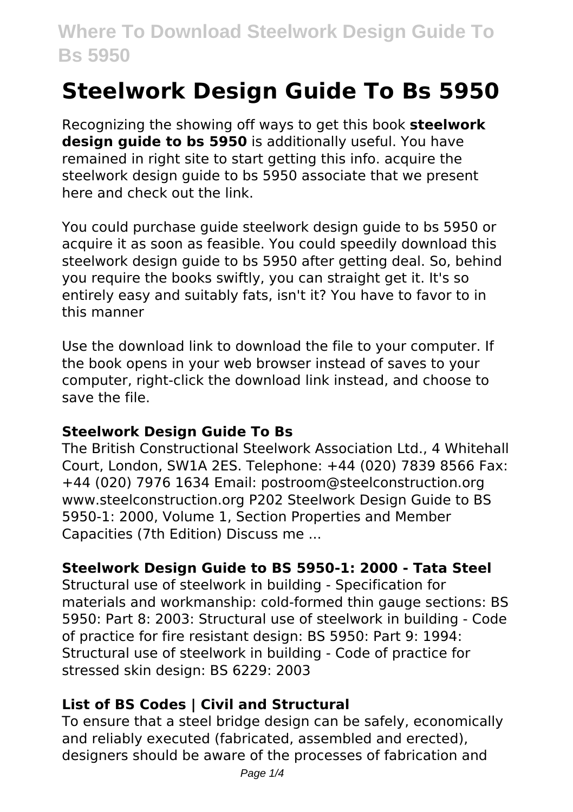# **Steelwork Design Guide To Bs 5950**

Recognizing the showing off ways to get this book **steelwork design guide to bs 5950** is additionally useful. You have remained in right site to start getting this info. acquire the steelwork design guide to bs 5950 associate that we present here and check out the link.

You could purchase guide steelwork design guide to bs 5950 or acquire it as soon as feasible. You could speedily download this steelwork design guide to bs 5950 after getting deal. So, behind you require the books swiftly, you can straight get it. It's so entirely easy and suitably fats, isn't it? You have to favor to in this manner

Use the download link to download the file to your computer. If the book opens in your web browser instead of saves to your computer, right-click the download link instead, and choose to save the file.

#### **Steelwork Design Guide To Bs**

The British Constructional Steelwork Association Ltd., 4 Whitehall Court, London, SW1A 2ES. Telephone: +44 (020) 7839 8566 Fax: +44 (020) 7976 1634 Email: postroom@steelconstruction.org www.steelconstruction.org P202 Steelwork Design Guide to BS 5950-1: 2000, Volume 1, Section Properties and Member Capacities (7th Edition) Discuss me ...

# **Steelwork Design Guide to BS 5950-1: 2000 - Tata Steel**

Structural use of steelwork in building - Specification for materials and workmanship: cold-formed thin gauge sections: BS 5950: Part 8: 2003: Structural use of steelwork in building - Code of practice for fire resistant design: BS 5950: Part 9: 1994: Structural use of steelwork in building - Code of practice for stressed skin design: BS 6229: 2003

## **List of BS Codes | Civil and Structural**

To ensure that a steel bridge design can be safely, economically and reliably executed (fabricated, assembled and erected), designers should be aware of the processes of fabrication and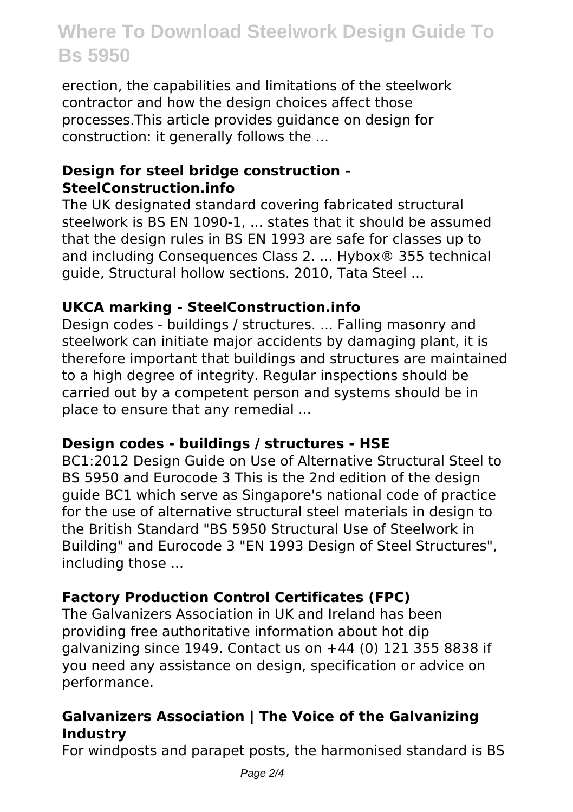erection, the capabilities and limitations of the steelwork contractor and how the design choices affect those processes.This article provides guidance on design for construction: it generally follows the ...

# **Design for steel bridge construction - SteelConstruction.info**

The UK designated standard covering fabricated structural steelwork is BS EN 1090-1, ... states that it should be assumed that the design rules in BS EN 1993 are safe for classes up to and including Consequences Class 2. ... Hybox® 355 technical guide, Structural hollow sections. 2010, Tata Steel ...

## **UKCA marking - SteelConstruction.info**

Design codes - buildings / structures. ... Falling masonry and steelwork can initiate major accidents by damaging plant, it is therefore important that buildings and structures are maintained to a high degree of integrity. Regular inspections should be carried out by a competent person and systems should be in place to ensure that any remedial ...

## **Design codes - buildings / structures - HSE**

BC1:2012 Design Guide on Use of Alternative Structural Steel to BS 5950 and Eurocode 3 This is the 2nd edition of the design guide BC1 which serve as Singapore's national code of practice for the use of alternative structural steel materials in design to the British Standard "BS 5950 Structural Use of Steelwork in Building" and Eurocode 3 "EN 1993 Design of Steel Structures", including those ...

# **Factory Production Control Certificates (FPC)**

The Galvanizers Association in UK and Ireland has been providing free authoritative information about hot dip galvanizing since 1949. Contact us on +44 (0) 121 355 8838 if you need any assistance on design, specification or advice on performance.

# **Galvanizers Association | The Voice of the Galvanizing Industry**

For windposts and parapet posts, the harmonised standard is BS